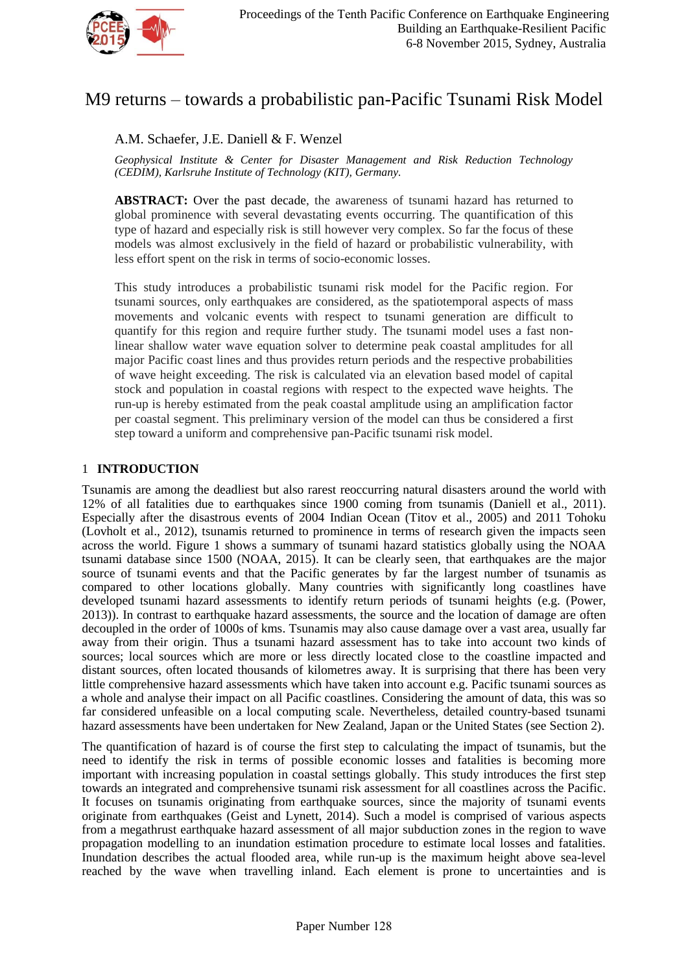

# M9 returns – towards a probabilistic pan-Pacific Tsunami Risk Model

A.M. Schaefer, J.E. Daniell & F. Wenzel

*Geophysical Institute & Center for Disaster Management and Risk Reduction Technology (CEDIM), Karlsruhe Institute of Technology (KIT), Germany.*

**ABSTRACT:** Over the past decade, the awareness of tsunami hazard has returned to global prominence with several devastating events occurring. The quantification of this type of hazard and especially risk is still however very complex. So far the focus of these models was almost exclusively in the field of hazard or probabilistic vulnerability, with less effort spent on the risk in terms of socio-economic losses.

This study introduces a probabilistic tsunami risk model for the Pacific region. For tsunami sources, only earthquakes are considered, as the spatiotemporal aspects of mass movements and volcanic events with respect to tsunami generation are difficult to quantify for this region and require further study. The tsunami model uses a fast nonlinear shallow water wave equation solver to determine peak coastal amplitudes for all major Pacific coast lines and thus provides return periods and the respective probabilities of wave height exceeding. The risk is calculated via an elevation based model of capital stock and population in coastal regions with respect to the expected wave heights. The run-up is hereby estimated from the peak coastal amplitude using an amplification factor per coastal segment. This preliminary version of the model can thus be considered a first step toward a uniform and comprehensive pan-Pacific tsunami risk model.

# 1 **INTRODUCTION**

Tsunamis are among the deadliest but also rarest reoccurring natural disasters around the world with 12% of all fatalities due to earthquakes since 1900 coming from tsunamis (Daniell et al., 2011). Especially after the disastrous events of 2004 Indian Ocean (Titov et al., 2005) and 2011 Tohoku (Lovholt et al., 2012), tsunamis returned to prominence in terms of research given the impacts seen across the world. Figure 1 shows a summary of tsunami hazard statistics globally using the NOAA tsunami database since 1500 (NOAA, 2015). It can be clearly seen, that earthquakes are the major source of tsunami events and that the Pacific generates by far the largest number of tsunamis as compared to other locations globally. Many countries with significantly long coastlines have developed tsunami hazard assessments to identify return periods of tsunami heights (e.g. (Power, 2013)). In contrast to earthquake hazard assessments, the source and the location of damage are often decoupled in the order of 1000s of kms. Tsunamis may also cause damage over a vast area, usually far away from their origin. Thus a tsunami hazard assessment has to take into account two kinds of sources; local sources which are more or less directly located close to the coastline impacted and distant sources, often located thousands of kilometres away. It is surprising that there has been very little comprehensive hazard assessments which have taken into account e.g. Pacific tsunami sources as a whole and analyse their impact on all Pacific coastlines. Considering the amount of data, this was so far considered unfeasible on a local computing scale. Nevertheless, detailed country-based tsunami hazard assessments have been undertaken for New Zealand, Japan or the United States (see Section 2).

The quantification of hazard is of course the first step to calculating the impact of tsunamis, but the need to identify the risk in terms of possible economic losses and fatalities is becoming more important with increasing population in coastal settings globally. This study introduces the first step towards an integrated and comprehensive tsunami risk assessment for all coastlines across the Pacific. It focuses on tsunamis originating from earthquake sources, since the majority of tsunami events originate from earthquakes (Geist and Lynett, 2014). Such a model is comprised of various aspects from a megathrust earthquake hazard assessment of all major subduction zones in the region to wave propagation modelling to an inundation estimation procedure to estimate local losses and fatalities. Inundation describes the actual flooded area, while run-up is the maximum height above sea-level reached by the wave when travelling inland. Each element is prone to uncertainties and is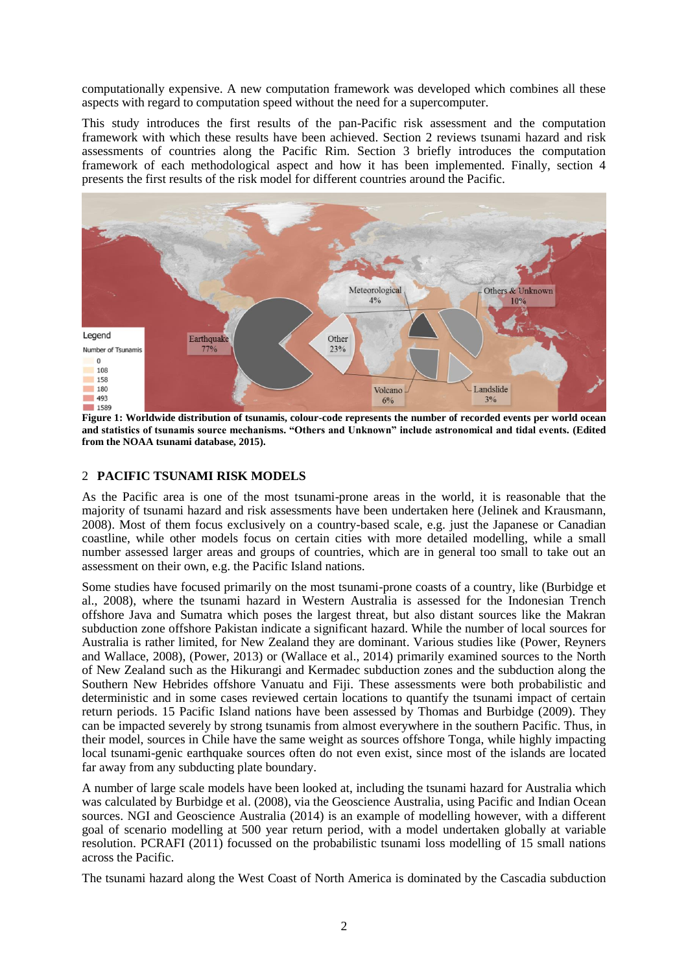computationally expensive. A new computation framework was developed which combines all these aspects with regard to computation speed without the need for a supercomputer.

This study introduces the first results of the pan-Pacific risk assessment and the computation framework with which these results have been achieved. Section 2 reviews tsunami hazard and risk assessments of countries along the Pacific Rim. Section 3 briefly introduces the computation framework of each methodological aspect and how it has been implemented. Finally, section 4 presents the first results of the risk model for different countries around the Pacific.



**Figure 1: Worldwide distribution of tsunamis, colour-code represents the number of recorded events per world ocean and statistics of tsunamis source mechanisms. "Others and Unknown" include astronomical and tidal events. (Edited from the NOAA tsunami database, 2015).**

# 2 **PACIFIC TSUNAMI RISK MODELS**

As the Pacific area is one of the most tsunami-prone areas in the world, it is reasonable that the majority of tsunami hazard and risk assessments have been undertaken here (Jelinek and Krausmann, 2008). Most of them focus exclusively on a country-based scale, e.g. just the Japanese or Canadian coastline, while other models focus on certain cities with more detailed modelling, while a small number assessed larger areas and groups of countries, which are in general too small to take out an assessment on their own, e.g. the Pacific Island nations.

Some studies have focused primarily on the most tsunami-prone coasts of a country, like (Burbidge et al., 2008), where the tsunami hazard in Western Australia is assessed for the Indonesian Trench offshore Java and Sumatra which poses the largest threat, but also distant sources like the Makran subduction zone offshore Pakistan indicate a significant hazard. While the number of local sources for Australia is rather limited, for New Zealand they are dominant. Various studies like (Power, Reyners and Wallace, 2008), (Power, 2013) or (Wallace et al., 2014) primarily examined sources to the North of New Zealand such as the Hikurangi and Kermadec subduction zones and the subduction along the Southern New Hebrides offshore Vanuatu and Fiji. These assessments were both probabilistic and deterministic and in some cases reviewed certain locations to quantify the tsunami impact of certain return periods. 15 Pacific Island nations have been assessed by Thomas and Burbidge (2009). They can be impacted severely by strong tsunamis from almost everywhere in the southern Pacific. Thus, in their model, sources in Chile have the same weight as sources offshore Tonga, while highly impacting local tsunami-genic earthquake sources often do not even exist, since most of the islands are located far away from any subducting plate boundary.

A number of large scale models have been looked at, including the tsunami hazard for Australia which was calculated by Burbidge et al. (2008), via the Geoscience Australia, using Pacific and Indian Ocean sources. NGI and Geoscience Australia (2014) is an example of modelling however, with a different goal of scenario modelling at 500 year return period, with a model undertaken globally at variable resolution. PCRAFI (2011) focussed on the probabilistic tsunami loss modelling of 15 small nations across the Pacific.

The tsunami hazard along the West Coast of North America is dominated by the Cascadia subduction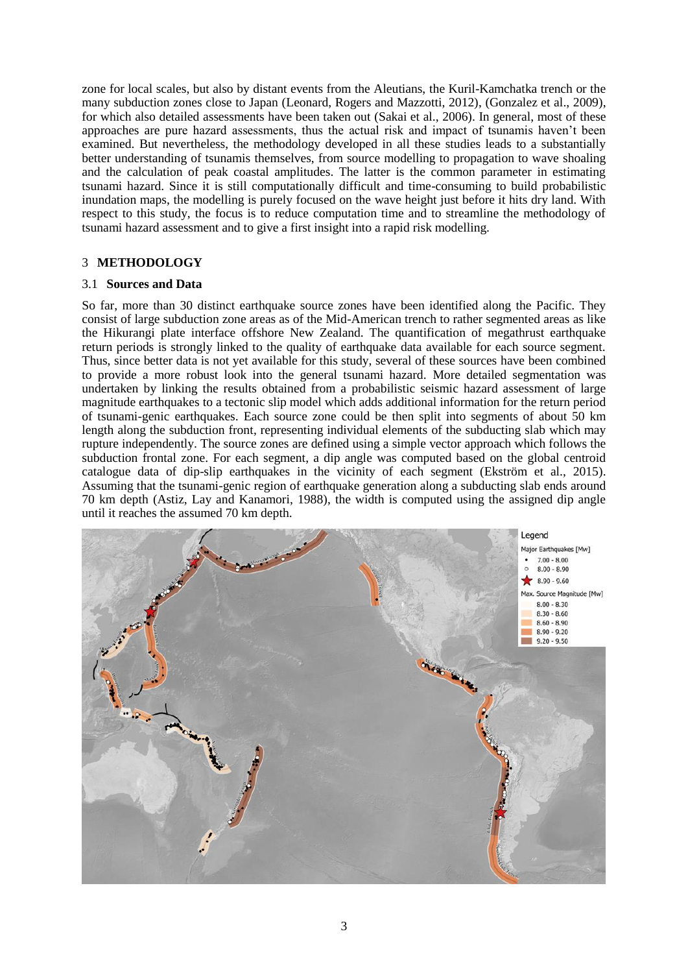zone for local scales, but also by distant events from the Aleutians, the Kuril-Kamchatka trench or the many subduction zones close to Japan (Leonard, Rogers and Mazzotti, 2012), (Gonzalez et al., 2009), for which also detailed assessments have been taken out (Sakai et al., 2006). In general, most of these approaches are pure hazard assessments, thus the actual risk and impact of tsunamis haven"t been examined. But nevertheless, the methodology developed in all these studies leads to a substantially better understanding of tsunamis themselves, from source modelling to propagation to wave shoaling and the calculation of peak coastal amplitudes. The latter is the common parameter in estimating tsunami hazard. Since it is still computationally difficult and time-consuming to build probabilistic inundation maps, the modelling is purely focused on the wave height just before it hits dry land. With respect to this study, the focus is to reduce computation time and to streamline the methodology of tsunami hazard assessment and to give a first insight into a rapid risk modelling.

## 3 **METHODOLOGY**

## 3.1 **Sources and Data**

So far, more than 30 distinct earthquake source zones have been identified along the Pacific. They consist of large subduction zone areas as of the Mid-American trench to rather segmented areas as like the Hikurangi plate interface offshore New Zealand. The quantification of megathrust earthquake return periods is strongly linked to the quality of earthquake data available for each source segment. Thus, since better data is not yet available for this study, several of these sources have been combined to provide a more robust look into the general tsunami hazard. More detailed segmentation was undertaken by linking the results obtained from a probabilistic seismic hazard assessment of large magnitude earthquakes to a tectonic slip model which adds additional information for the return period of tsunami-genic earthquakes. Each source zone could be then split into segments of about 50 km length along the subduction front, representing individual elements of the subducting slab which may rupture independently. The source zones are defined using a simple vector approach which follows the subduction frontal zone. For each segment, a dip angle was computed based on the global centroid catalogue data of dip-slip earthquakes in the vicinity of each segment (Ekström et al., 2015). Assuming that the tsunami-genic region of earthquake generation along a subducting slab ends around 70 km depth (Astiz, Lay and Kanamori, 1988), the width is computed using the assigned dip angle until it reaches the assumed 70 km depth.

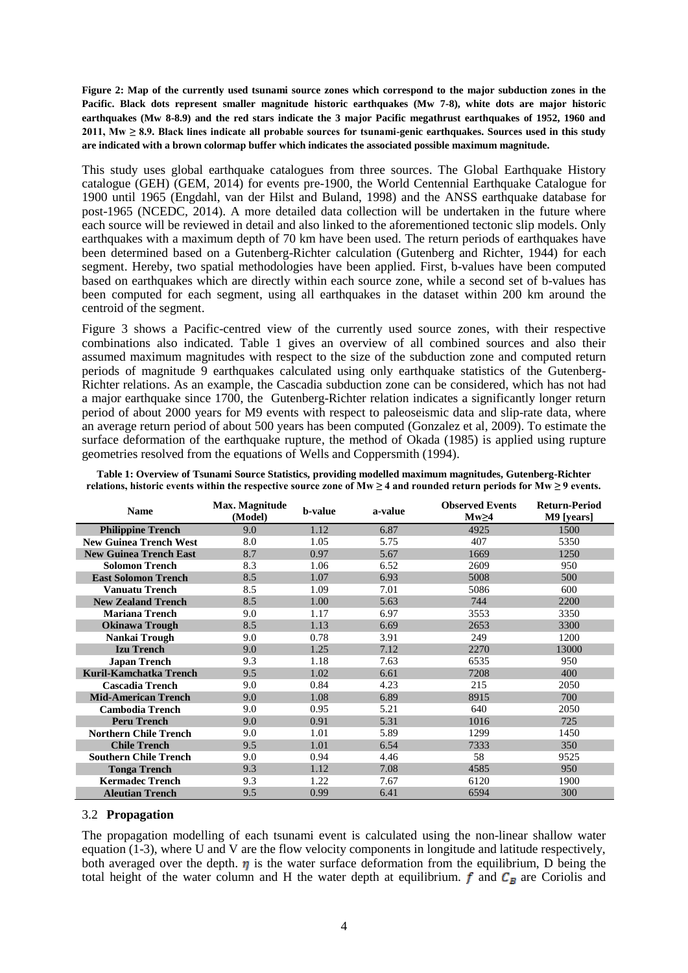**Figure 2: Map of the currently used tsunami source zones which correspond to the major subduction zones in the Pacific. Black dots represent smaller magnitude historic earthquakes (Mw 7-8), white dots are major historic earthquakes (Mw 8-8.9) and the red stars indicate the 3 major Pacific megathrust earthquakes of 1952, 1960 and 2011, Mw ≥ 8.9. Black lines indicate all probable sources for tsunami-genic earthquakes. Sources used in this study are indicated with a brown colormap buffer which indicates the associated possible maximum magnitude.**

This study uses global earthquake catalogues from three sources. The Global Earthquake History catalogue (GEH) (GEM, 2014) for events pre-1900, the World Centennial Earthquake Catalogue for 1900 until 1965 (Engdahl, van der Hilst and Buland, 1998) and the ANSS earthquake database for post-1965 (NCEDC, 2014). A more detailed data collection will be undertaken in the future where each source will be reviewed in detail and also linked to the aforementioned tectonic slip models. Only earthquakes with a maximum depth of 70 km have been used. The return periods of earthquakes have been determined based on a Gutenberg-Richter calculation (Gutenberg and Richter, 1944) for each segment. Hereby, two spatial methodologies have been applied. First, b-values have been computed based on earthquakes which are directly within each source zone, while a second set of b-values has been computed for each segment, using all earthquakes in the dataset within 200 km around the centroid of the segment.

Figure 3 shows a Pacific-centred view of the currently used source zones, with their respective combinations also indicated. Table 1 gives an overview of all combined sources and also their assumed maximum magnitudes with respect to the size of the subduction zone and computed return periods of magnitude 9 earthquakes calculated using only earthquake statistics of the Gutenberg-Richter relations. As an example, the Cascadia subduction zone can be considered, which has not had a major earthquake since 1700, the Gutenberg-Richter relation indicates a significantly longer return period of about 2000 years for M9 events with respect to paleoseismic data and slip-rate data, where an average return period of about 500 years has been computed (Gonzalez et al, 2009). To estimate the surface deformation of the earthquake rupture, the method of Okada (1985) is applied using rupture geometries resolved from the equations of Wells and Coppersmith (1994).

| <b>Name</b>                   | Max. Magnitude<br>(Model) | <b>b</b> -value | a-value | <b>Observed Events</b><br>$Mw \geq 4$ | <b>Return-Period</b><br>M9 [years] |
|-------------------------------|---------------------------|-----------------|---------|---------------------------------------|------------------------------------|
| <b>Philippine Trench</b>      | 9.0                       | 1.12            | 6.87    | 4925                                  | 1500                               |
| <b>New Guinea Trench West</b> | 8.0                       | 1.05            | 5.75    | 407                                   | 5350                               |
| <b>New Guinea Trench East</b> | 8.7                       | 0.97            | 5.67    | 1669                                  | 1250                               |
| <b>Solomon Trench</b>         | 8.3                       | 1.06            | 6.52    | 2609                                  | 950                                |
| <b>East Solomon Trench</b>    | 8.5                       | 1.07            | 6.93    | 5008                                  | 500                                |
| <b>Vanuatu Trench</b>         | 8.5                       | 1.09            | 7.01    | 5086                                  | 600                                |
| <b>New Zealand Trench</b>     | 8.5                       | 1.00            | 5.63    | 744                                   | 2200                               |
| <b>Mariana Trench</b>         | 9.0                       | 1.17            | 6.97    | 3553                                  | 3350                               |
| <b>Okinawa Trough</b>         | 8.5                       | 1.13            | 6.69    | 2653                                  | 3300                               |
| Nankai Trough                 | 9.0                       | 0.78            | 3.91    | 249                                   | 1200                               |
| <b>Izu Trench</b>             | 9.0                       | 1.25            | 7.12    | 2270                                  | 13000                              |
| <b>Japan Trench</b>           | 9.3                       | 1.18            | 7.63    | 6535                                  | 950                                |
| Kuril-Kamchatka Trench        | 9.5                       | 1.02            | 6.61    | 7208                                  | 400                                |
| <b>Cascadia Trench</b>        | 9.0                       | 0.84            | 4.23    | 215                                   | 2050                               |
| <b>Mid-American Trench</b>    | 9.0                       | 1.08            | 6.89    | 8915                                  | 700                                |
| <b>Cambodia Trench</b>        | 9.0                       | 0.95            | 5.21    | 640                                   | 2050                               |
| <b>Peru Trench</b>            | 9.0                       | 0.91            | 5.31    | 1016                                  | 725                                |
| <b>Northern Chile Trench</b>  | 9.0                       | 1.01            | 5.89    | 1299                                  | 1450                               |
| <b>Chile Trench</b>           | 9.5                       | 1.01            | 6.54    | 7333                                  | 350                                |
| <b>Southern Chile Trench</b>  | 9.0                       | 0.94            | 4.46    | 58                                    | 9525                               |
| <b>Tonga Trench</b>           | 9.3                       | 1.12            | 7.08    | 4585                                  | 950                                |
| <b>Kermadec Trench</b>        | 9.3                       | 1.22            | 7.67    | 6120                                  | 1900                               |
| <b>Aleutian Trench</b>        | 9.5                       | 0.99            | 6.41    | 6594                                  | 300                                |

**Table 1: Overview of Tsunami Source Statistics, providing modelled maximum magnitudes, Gutenberg-Richter**  relations, historic events within the respective source zone of  $Mw \ge 4$  and rounded return periods for  $Mw \ge 9$  events.

#### 3.2 **Propagation**

The propagation modelling of each tsunami event is calculated using the non-linear shallow water equation (1-3), where U and V are the flow velocity components in longitude and latitude respectively, both averaged over the depth.  $\eta$  is the water surface deformation from the equilibrium, D being the total height of the water column and H the water depth at equilibrium.  $f$  and  $C_B$  are Coriolis and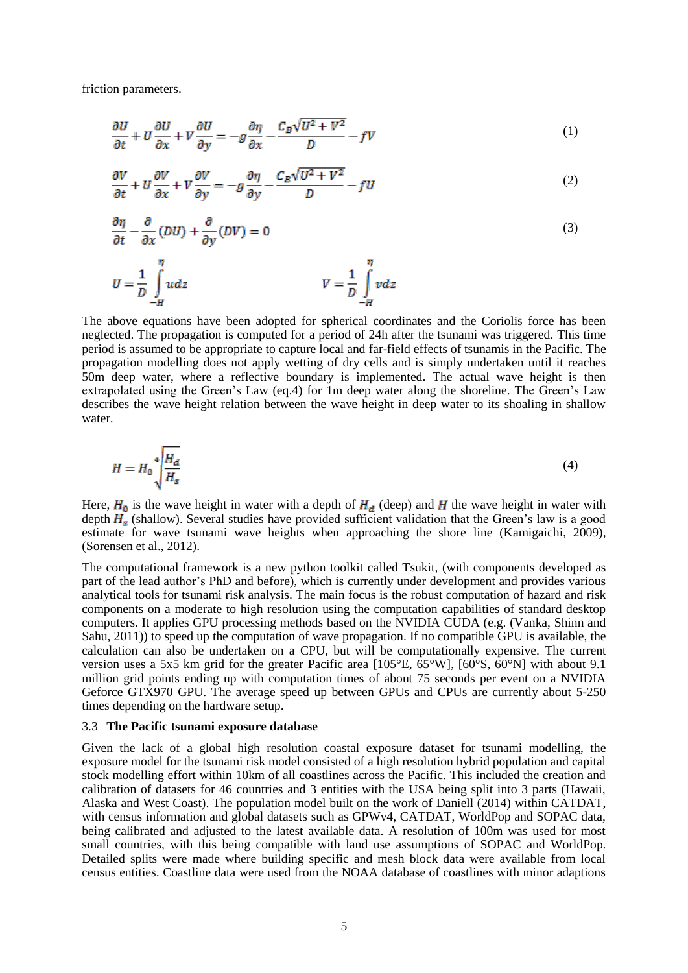friction parameters.

$$
\frac{\partial U}{\partial t} + U \frac{\partial U}{\partial x} + V \frac{\partial U}{\partial y} = -g \frac{\partial \eta}{\partial x} - \frac{C_B \sqrt{U^2 + V^2}}{D} - fV \tag{1}
$$

$$
\frac{\partial V}{\partial t} + U \frac{\partial V}{\partial x} + V \frac{\partial V}{\partial y} = -g \frac{\partial \eta}{\partial y} - \frac{C_B \sqrt{U^2 + V^2}}{D} - fU \tag{2}
$$

$$
\frac{\partial \eta}{\partial t} - \frac{\partial}{\partial x} (DU) + \frac{\partial}{\partial y} (DV) = 0
$$
\n(3)

$$
U = \frac{1}{D} \int_{-H}^{\eta} u dz
$$
 
$$
V = \frac{1}{D} \int_{-H}^{\eta} v dz
$$

The above equations have been adopted for spherical coordinates and the Coriolis force has been neglected. The propagation is computed for a period of 24h after the tsunami was triggered. This time period is assumed to be appropriate to capture local and far-field effects of tsunamis in the Pacific. The propagation modelling does not apply wetting of dry cells and is simply undertaken until it reaches 50m deep water, where a reflective boundary is implemented. The actual wave height is then extrapolated using the Green"s Law (eq.4) for 1m deep water along the shoreline. The Green"s Law describes the wave height relation between the wave height in deep water to its shoaling in shallow water.

$$
H = H_0 \sqrt[4]{\frac{H_d}{H_s}}\tag{4}
$$

Here,  $H_0$  is the wave height in water with a depth of  $H_d$  (deep) and H the wave height in water with depth  $H_s$  (shallow). Several studies have provided sufficient validation that the Green's law is a good estimate for wave tsunami wave heights when approaching the shore line (Kamigaichi, 2009), (Sorensen et al., 2012).

The computational framework is a new python toolkit called Tsukit, (with components developed as part of the lead author"s PhD and before), which is currently under development and provides various analytical tools for tsunami risk analysis. The main focus is the robust computation of hazard and risk components on a moderate to high resolution using the computation capabilities of standard desktop computers. It applies GPU processing methods based on the NVIDIA CUDA (e.g. (Vanka, Shinn and Sahu, 2011)) to speed up the computation of wave propagation. If no compatible GPU is available, the calculation can also be undertaken on a CPU, but will be computationally expensive. The current version uses a 5x5 km grid for the greater Pacific area [105°E, 65°W], [60°S, 60°N] with about 9.1 million grid points ending up with computation times of about 75 seconds per event on a NVIDIA Geforce GTX970 GPU. The average speed up between GPUs and CPUs are currently about 5-250 times depending on the hardware setup.

#### 3.3 **The Pacific tsunami exposure database**

Given the lack of a global high resolution coastal exposure dataset for tsunami modelling, the exposure model for the tsunami risk model consisted of a high resolution hybrid population and capital stock modelling effort within 10km of all coastlines across the Pacific. This included the creation and calibration of datasets for 46 countries and 3 entities with the USA being split into 3 parts (Hawaii, Alaska and West Coast). The population model built on the work of Daniell (2014) within CATDAT, with census information and global datasets such as GPWv4, CATDAT, WorldPop and SOPAC data, being calibrated and adjusted to the latest available data. A resolution of 100m was used for most small countries, with this being compatible with land use assumptions of SOPAC and WorldPop. Detailed splits were made where building specific and mesh block data were available from local census entities. Coastline data were used from the NOAA database of coastlines with minor adaptions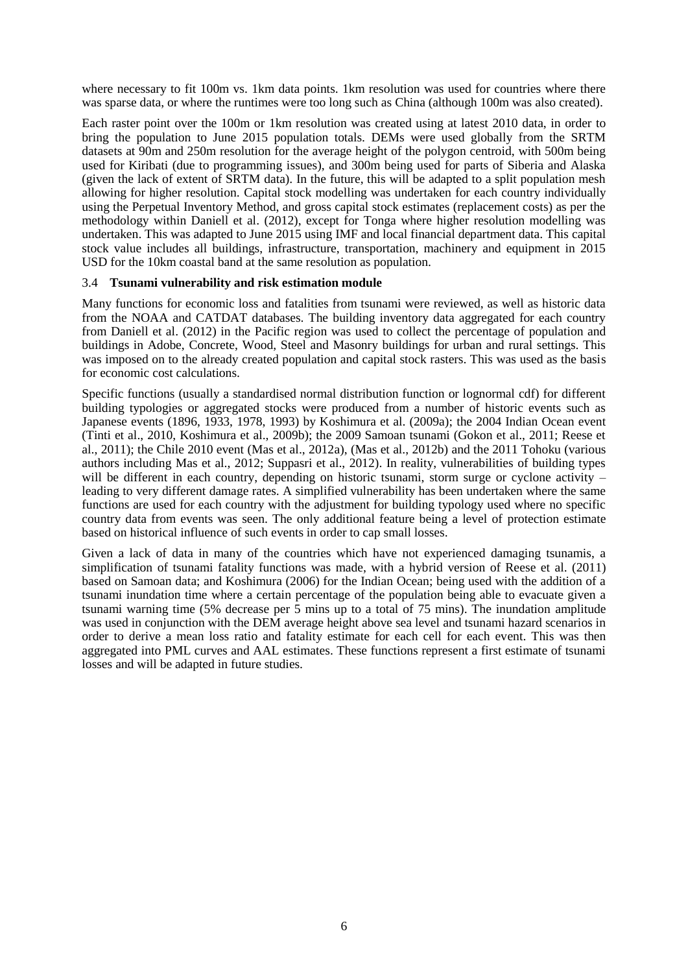where necessary to fit 100m vs. 1km data points. 1km resolution was used for countries where there was sparse data, or where the runtimes were too long such as China (although 100m was also created).

Each raster point over the 100m or 1km resolution was created using at latest 2010 data, in order to bring the population to June 2015 population totals. DEMs were used globally from the SRTM datasets at 90m and 250m resolution for the average height of the polygon centroid, with 500m being used for Kiribati (due to programming issues), and 300m being used for parts of Siberia and Alaska (given the lack of extent of SRTM data). In the future, this will be adapted to a split population mesh allowing for higher resolution. Capital stock modelling was undertaken for each country individually using the Perpetual Inventory Method, and gross capital stock estimates (replacement costs) as per the methodology within Daniell et al. (2012), except for Tonga where higher resolution modelling was undertaken. This was adapted to June 2015 using IMF and local financial department data. This capital stock value includes all buildings, infrastructure, transportation, machinery and equipment in 2015 USD for the 10km coastal band at the same resolution as population.

## 3.4 **Tsunami vulnerability and risk estimation module**

Many functions for economic loss and fatalities from tsunami were reviewed, as well as historic data from the NOAA and CATDAT databases. The building inventory data aggregated for each country from Daniell et al. (2012) in the Pacific region was used to collect the percentage of population and buildings in Adobe, Concrete, Wood, Steel and Masonry buildings for urban and rural settings. This was imposed on to the already created population and capital stock rasters. This was used as the basis for economic cost calculations.

Specific functions (usually a standardised normal distribution function or lognormal cdf) for different building typologies or aggregated stocks were produced from a number of historic events such as Japanese events (1896, 1933, 1978, 1993) by Koshimura et al. (2009a); the 2004 Indian Ocean event (Tinti et al., 2010, Koshimura et al., 2009b); the 2009 Samoan tsunami (Gokon et al., 2011; Reese et al., 2011); the Chile 2010 event (Mas et al., 2012a), (Mas et al., 2012b) and the 2011 Tohoku (various authors including Mas et al., 2012; Suppasri et al., 2012). In reality, vulnerabilities of building types will be different in each country, depending on historic tsunami, storm surge or cyclone activity leading to very different damage rates. A simplified vulnerability has been undertaken where the same functions are used for each country with the adjustment for building typology used where no specific country data from events was seen. The only additional feature being a level of protection estimate based on historical influence of such events in order to cap small losses.

Given a lack of data in many of the countries which have not experienced damaging tsunamis, a simplification of tsunami fatality functions was made, with a hybrid version of Reese et al. (2011) based on Samoan data; and Koshimura (2006) for the Indian Ocean; being used with the addition of a tsunami inundation time where a certain percentage of the population being able to evacuate given a tsunami warning time (5% decrease per 5 mins up to a total of 75 mins). The inundation amplitude was used in conjunction with the DEM average height above sea level and tsunami hazard scenarios in order to derive a mean loss ratio and fatality estimate for each cell for each event. This was then aggregated into PML curves and AAL estimates. These functions represent a first estimate of tsunami losses and will be adapted in future studies.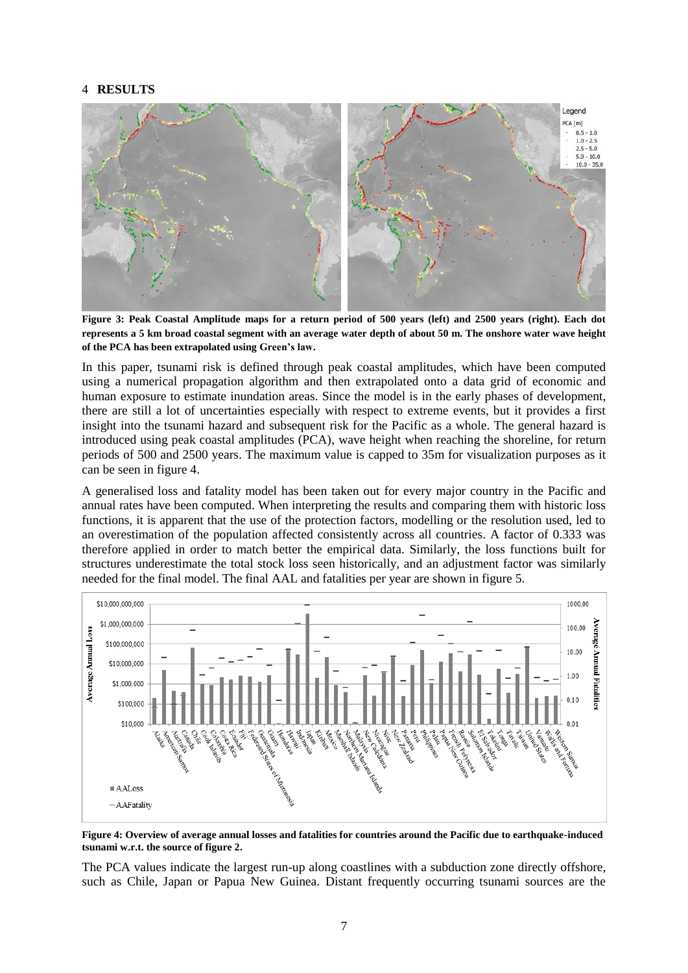## 4 **RESULTS**



**Figure 3: Peak Coastal Amplitude maps for a return period of 500 years (left) and 2500 years (right). Each dot represents a 5 km broad coastal segment with an average water depth of about 50 m. The onshore water wave height of the PCA has been extrapolated using Green's law.**

In this paper, tsunami risk is defined through peak coastal amplitudes, which have been computed using a numerical propagation algorithm and then extrapolated onto a data grid of economic and human exposure to estimate inundation areas. Since the model is in the early phases of development, there are still a lot of uncertainties especially with respect to extreme events, but it provides a first insight into the tsunami hazard and subsequent risk for the Pacific as a whole. The general hazard is introduced using peak coastal amplitudes (PCA), wave height when reaching the shoreline, for return periods of 500 and 2500 years. The maximum value is capped to 35m for visualization purposes as it can be seen in figure 4.

A generalised loss and fatality model has been taken out for every major country in the Pacific and annual rates have been computed. When interpreting the results and comparing them with historic loss functions, it is apparent that the use of the protection factors, modelling or the resolution used, led to an overestimation of the population affected consistently across all countries. A factor of 0.333 was therefore applied in order to match better the empirical data. Similarly, the loss functions built for structures underestimate the total stock loss seen historically, and an adjustment factor was similarly needed for the final model. The final AAL and fatalities per year are shown in figure 5.



**Figure 4: Overview of average annual losses and fatalities for countries around the Pacific due to earthquake-induced tsunami w.r.t. the source of figure 2.**

The PCA values indicate the largest run-up along coastlines with a subduction zone directly offshore, such as Chile, Japan or Papua New Guinea. Distant frequently occurring tsunami sources are the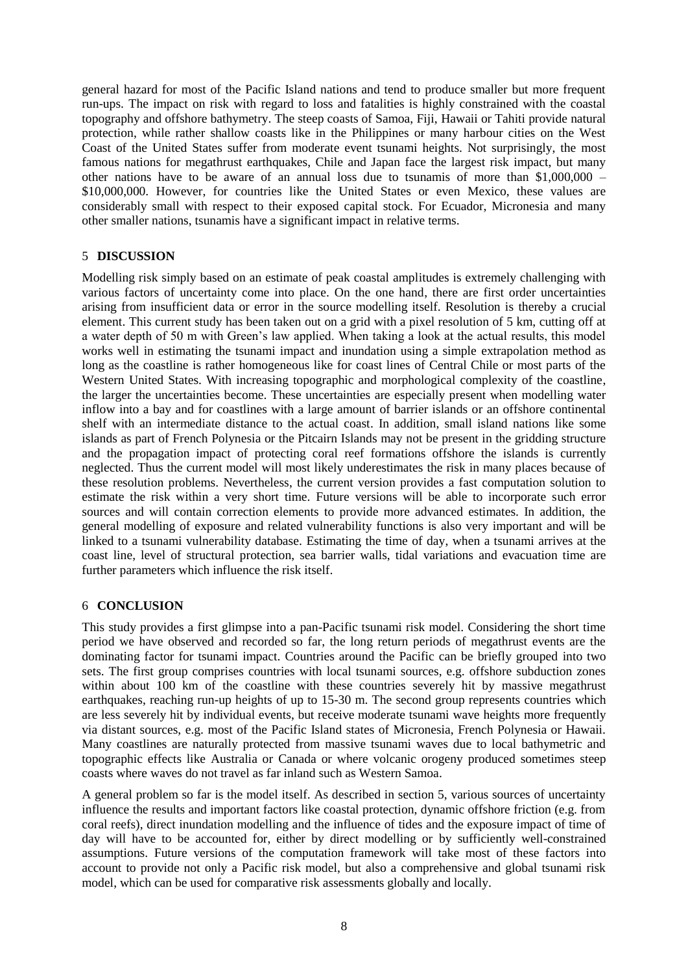general hazard for most of the Pacific Island nations and tend to produce smaller but more frequent run-ups. The impact on risk with regard to loss and fatalities is highly constrained with the coastal topography and offshore bathymetry. The steep coasts of Samoa, Fiji, Hawaii or Tahiti provide natural protection, while rather shallow coasts like in the Philippines or many harbour cities on the West Coast of the United States suffer from moderate event tsunami heights. Not surprisingly, the most famous nations for megathrust earthquakes, Chile and Japan face the largest risk impact, but many other nations have to be aware of an annual loss due to tsunamis of more than \$1,000,000 – \$10,000,000. However, for countries like the United States or even Mexico, these values are considerably small with respect to their exposed capital stock. For Ecuador, Micronesia and many other smaller nations, tsunamis have a significant impact in relative terms.

# 5 **DISCUSSION**

Modelling risk simply based on an estimate of peak coastal amplitudes is extremely challenging with various factors of uncertainty come into place. On the one hand, there are first order uncertainties arising from insufficient data or error in the source modelling itself. Resolution is thereby a crucial element. This current study has been taken out on a grid with a pixel resolution of 5 km, cutting off at a water depth of 50 m with Green"s law applied. When taking a look at the actual results, this model works well in estimating the tsunami impact and inundation using a simple extrapolation method as long as the coastline is rather homogeneous like for coast lines of Central Chile or most parts of the Western United States. With increasing topographic and morphological complexity of the coastline, the larger the uncertainties become. These uncertainties are especially present when modelling water inflow into a bay and for coastlines with a large amount of barrier islands or an offshore continental shelf with an intermediate distance to the actual coast. In addition, small island nations like some islands as part of French Polynesia or the Pitcairn Islands may not be present in the gridding structure and the propagation impact of protecting coral reef formations offshore the islands is currently neglected. Thus the current model will most likely underestimates the risk in many places because of these resolution problems. Nevertheless, the current version provides a fast computation solution to estimate the risk within a very short time. Future versions will be able to incorporate such error sources and will contain correction elements to provide more advanced estimates. In addition, the general modelling of exposure and related vulnerability functions is also very important and will be linked to a tsunami vulnerability database. Estimating the time of day, when a tsunami arrives at the coast line, level of structural protection, sea barrier walls, tidal variations and evacuation time are further parameters which influence the risk itself.

## 6 **CONCLUSION**

This study provides a first glimpse into a pan-Pacific tsunami risk model. Considering the short time period we have observed and recorded so far, the long return periods of megathrust events are the dominating factor for tsunami impact. Countries around the Pacific can be briefly grouped into two sets. The first group comprises countries with local tsunami sources, e.g. offshore subduction zones within about 100 km of the coastline with these countries severely hit by massive megathrust earthquakes, reaching run-up heights of up to 15-30 m. The second group represents countries which are less severely hit by individual events, but receive moderate tsunami wave heights more frequently via distant sources, e.g. most of the Pacific Island states of Micronesia, French Polynesia or Hawaii. Many coastlines are naturally protected from massive tsunami waves due to local bathymetric and topographic effects like Australia or Canada or where volcanic orogeny produced sometimes steep coasts where waves do not travel as far inland such as Western Samoa.

A general problem so far is the model itself. As described in section 5, various sources of uncertainty influence the results and important factors like coastal protection, dynamic offshore friction (e.g. from coral reefs), direct inundation modelling and the influence of tides and the exposure impact of time of day will have to be accounted for, either by direct modelling or by sufficiently well-constrained assumptions. Future versions of the computation framework will take most of these factors into account to provide not only a Pacific risk model, but also a comprehensive and global tsunami risk model, which can be used for comparative risk assessments globally and locally.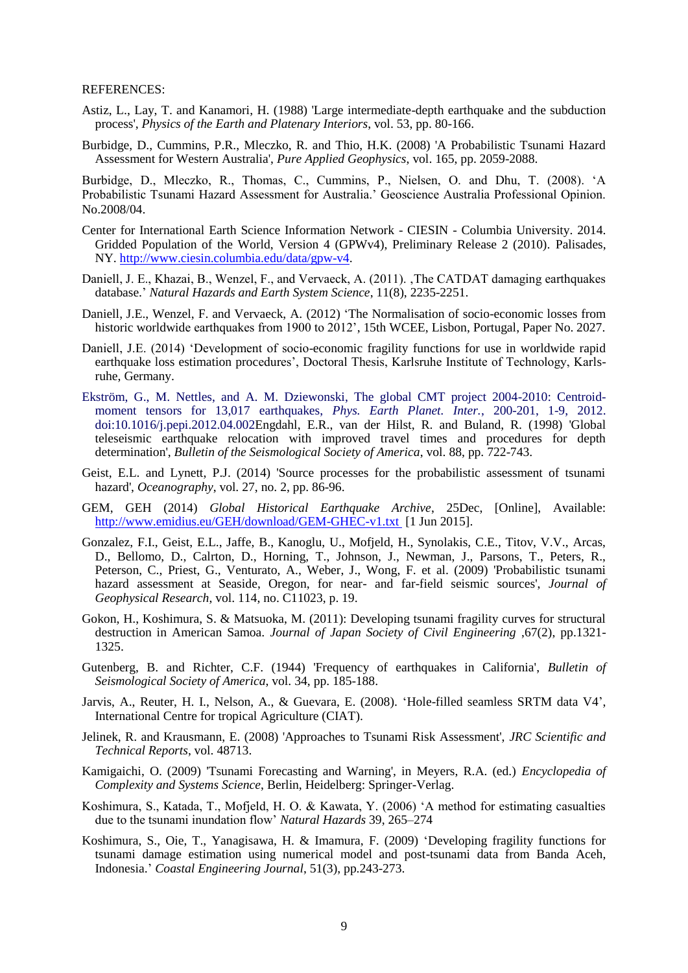#### REFERENCES:

- Astiz, L., Lay, T. and Kanamori, H. (1988) 'Large intermediate-depth earthquake and the subduction process', *Physics of the Earth and Platenary Interiors*, vol. 53, pp. 80-166.
- Burbidge, D., Cummins, P.R., Mleczko, R. and Thio, H.K. (2008) 'A Probabilistic Tsunami Hazard Assessment for Western Australia', *Pure Applied Geophysics*, vol. 165, pp. 2059-2088.

Burbidge, D., Mleczko, R., Thomas, C., Cummins, P., Nielsen, O. and Dhu, T. (2008). "A Probabilistic Tsunami Hazard Assessment for Australia." Geoscience Australia Professional Opinion. No.2008/04.

- Center for International Earth Science Information Network CIESIN Columbia University. 2014. Gridded Population of the World, Version 4 (GPWv4), Preliminary Release 2 (2010). Palisades, NY. [http://www.ciesin.columbia.edu/data/gpw-v4.](http://www.ciesin.columbia.edu/data/gpw-v4)
- Daniell, J. E., Khazai, B., Wenzel, F., and Vervaeck, A. (2011). , The CATDAT damaging earthquakes database." *Natural Hazards and Earth System Science*, 11(8), 2235-2251.
- Daniell, J.E., Wenzel, F. and Vervaeck, A. (2012) "The Normalisation of socio-economic losses from historic worldwide earthquakes from 1900 to 2012", 15th WCEE, Lisbon, Portugal, Paper No. 2027.
- Daniell, J.E. (2014) "Development of socio-economic fragility functions for use in worldwide rapid earthquake loss estimation procedures', Doctoral Thesis, Karlsruhe Institute of Technology, Karlsruhe, Germany.
- Ekström, G., M. Nettles, and A. M. Dziewonski, The global CMT project 2004-2010: Centroidmoment tensors for 13,017 earthquakes, *Phys. Earth Planet. Inter.*, 200-201, 1-9, 2012. doi:10.1016/j.pepi.2012.04.002Engdahl, E.R., van der Hilst, R. and Buland, R. (1998) 'Global teleseismic earthquake relocation with improved travel times and procedures for depth determination', *Bulletin of the Seismological Society of America*, vol. 88, pp. 722-743.
- Geist, E.L. and Lynett, P.J. (2014) 'Source processes for the probabilistic assessment of tsunami hazard', *Oceanography*, vol. 27, no. 2, pp. 86-96.
- GEM, GEH (2014) *Global Historical Earthquake Archive*, 25Dec, [Online], Available: http://www.emidius.eu/GEH/download/GEM-GHEC-v1.txt [1 Jun 2015].
- Gonzalez, F.I., Geist, E.L., Jaffe, B., Kanoglu, U., Mofjeld, H., Synolakis, C.E., Titov, V.V., Arcas, D., Bellomo, D., Calrton, D., Horning, T., Johnson, J., Newman, J., Parsons, T., Peters, R., Peterson, C., Priest, G., Venturato, A., Weber, J., Wong, F. et al. (2009) 'Probabilistic tsunami hazard assessment at Seaside, Oregon, for near- and far-field seismic sources', *Journal of Geophysical Research*, vol. 114, no. C11023, p. 19.
- Gokon, H., Koshimura, S. & Matsuoka, M. (2011): Developing tsunami fragility curves for structural destruction in American Samoa. *Journal of Japan Society of Civil Engineering* ,67(2), pp.1321- 1325.
- Gutenberg, B. and Richter, C.F. (1944) 'Frequency of earthquakes in California', *Bulletin of Seismological Society of America*, vol. 34, pp. 185-188.
- Jarvis, A., Reuter, H. I., Nelson, A., & Guevara, E. (2008). "Hole-filled seamless SRTM data V4", International Centre for tropical Agriculture (CIAT).
- Jelinek, R. and Krausmann, E. (2008) 'Approaches to Tsunami Risk Assessment', *JRC Scientific and Technical Reports*, vol. 48713.
- Kamigaichi, O. (2009) 'Tsunami Forecasting and Warning', in Meyers, R.A. (ed.) *Encyclopedia of Complexity and Systems Science*, Berlin, Heidelberg: Springer-Verlag.
- Koshimura, S., Katada, T., Mofjeld, H. O. & Kawata, Y. (2006) "A method for estimating casualties due to the tsunami inundation flow" *Natural Hazards* 39, 265–274
- Koshimura, S., Oie, T., Yanagisawa, H. & Imamura, F. (2009) "Developing fragility functions for tsunami damage estimation using numerical model and post-tsunami data from Banda Aceh, Indonesia." *Coastal Engineering Journal*, 51(3), pp.243-273.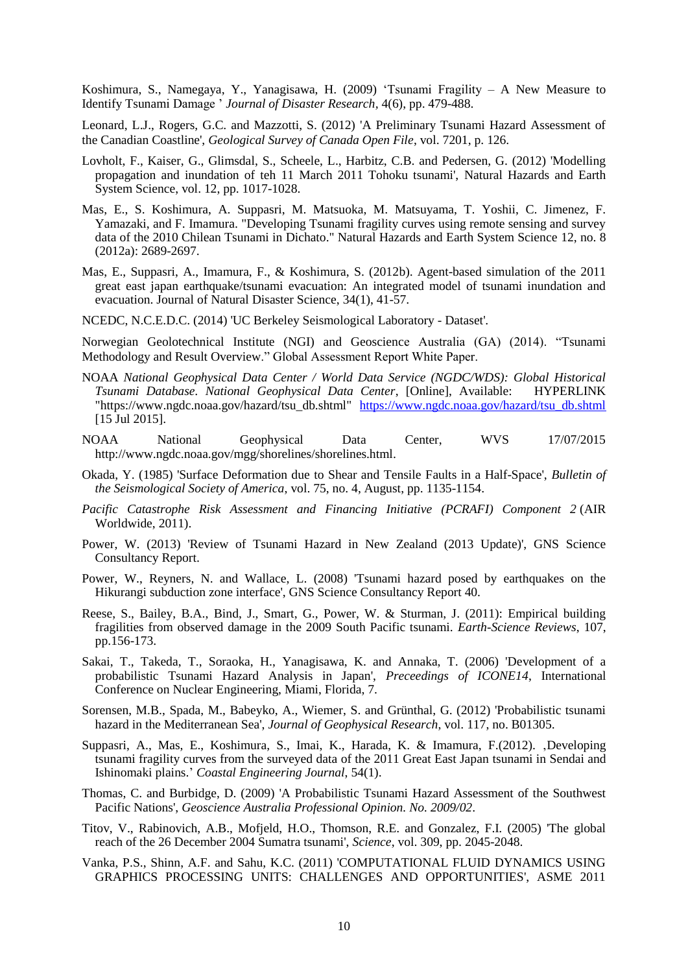Koshimura, S., Namegaya, Y., Yanagisawa, H. (2009) "Tsunami Fragility – A New Measure to Identify Tsunami Damage " *Journal of Disaster Research,* 4(6), pp. 479-488.

Leonard, L.J., Rogers, G.C. and Mazzotti, S. (2012) 'A Preliminary Tsunami Hazard Assessment of the Canadian Coastline', *Geological Survey of Canada Open File*, vol. 7201, p. 126.

- Lovholt, F., Kaiser, G., Glimsdal, S., Scheele, L., Harbitz, C.B. and Pedersen, G. (2012) 'Modelling propagation and inundation of teh 11 March 2011 Tohoku tsunami', Natural Hazards and Earth System Science, vol. 12, pp. 1017-1028.
- Mas, E., S. Koshimura, A. Suppasri, M. Matsuoka, M. Matsuyama, T. Yoshii, C. Jimenez, F. Yamazaki, and F. Imamura. "Developing Tsunami fragility curves using remote sensing and survey data of the 2010 Chilean Tsunami in Dichato." Natural Hazards and Earth System Science 12, no. 8 (2012a): 2689-2697.
- Mas, E., Suppasri, A., Imamura, F., & Koshimura, S. (2012b). Agent-based simulation of the 2011 great east japan earthquake/tsunami evacuation: An integrated model of tsunami inundation and evacuation. Journal of Natural Disaster Science, 34(1), 41-57.
- NCEDC, N.C.E.D.C. (2014) 'UC Berkeley Seismological Laboratory Dataset'.

Norwegian Geolotechnical Institute (NGI) and Geoscience Australia (GA) (2014). "Tsunami Methodology and Result Overview." Global Assessment Report White Paper.

- NOAA *National Geophysical Data Center / World Data Service (NGDC/WDS): Global Historical Tsunami Database. National Geophysical Data Center*, [Online], Available: HYPERLINK "https://www.ngdc.noaa.gov/hazard/tsu\_db.shtml" https://www.ngdc.noaa.gov/hazard/tsu\_db.shtml [15 Jul 2015].
- NOAA National Geophysical Data Center, WVS 17/07/2015 [http://www.ngdc.noaa.gov/mgg/shorelines/shorelines.html.](http://www.ngdc.noaa.gov/mgg/shorelines/shorelines.html)
- Okada, Y. (1985) 'Surface Deformation due to Shear and Tensile Faults in a Half-Space', *Bulletin of the Seismological Society of America*, vol. 75, no. 4, August, pp. 1135-1154.
- *Pacific Catastrophe Risk Assessment and Financing Initiative (PCRAFI) Component 2* (AIR Worldwide, 2011).
- Power, W. (2013) 'Review of Tsunami Hazard in New Zealand (2013 Update)', GNS Science Consultancy Report.
- Power, W., Reyners, N. and Wallace, L. (2008) 'Tsunami hazard posed by earthquakes on the Hikurangi subduction zone interface', GNS Science Consultancy Report 40.
- Reese, S., Bailey, B.A., Bind, J., Smart, G., Power, W. & Sturman, J. (2011): Empirical building fragilities from observed damage in the 2009 South Pacific tsunami. *Earth-Science Reviews*, 107, pp.156-173.
- Sakai, T., Takeda, T., Soraoka, H., Yanagisawa, K. and Annaka, T. (2006) 'Development of a probabilistic Tsunami Hazard Analysis in Japan', *Preceedings of ICONE14*, International Conference on Nuclear Engineering, Miami, Florida, 7.
- Sorensen, M.B., Spada, M., Babeyko, A., Wiemer, S. and Grünthal, G. (2012) 'Probabilistic tsunami hazard in the Mediterranean Sea', *Journal of Geophysical Research*, vol. 117, no. B01305.
- Suppasri, A., Mas, E., Koshimura, S., Imai, K., Harada, K. & Imamura, F.(2012). 'Developing tsunami fragility curves from the surveyed data of the 2011 Great East Japan tsunami in Sendai and Ishinomaki plains." *Coastal Engineering Journal*, 54(1).
- Thomas, C. and Burbidge, D. (2009) 'A Probabilistic Tsunami Hazard Assessment of the Southwest Pacific Nations', *Geoscience Australia Professional Opinion. No. 2009/02*.
- Titov, V., Rabinovich, A.B., Mofjeld, H.O., Thomson, R.E. and Gonzalez, F.I. (2005) 'The global reach of the 26 December 2004 Sumatra tsunami', *Science*, vol. 309, pp. 2045-2048.
- Vanka, P.S., Shinn, A.F. and Sahu, K.C. (2011) 'COMPUTATIONAL FLUID DYNAMICS USING GRAPHICS PROCESSING UNITS: CHALLENGES AND OPPORTUNITIES', ASME 2011